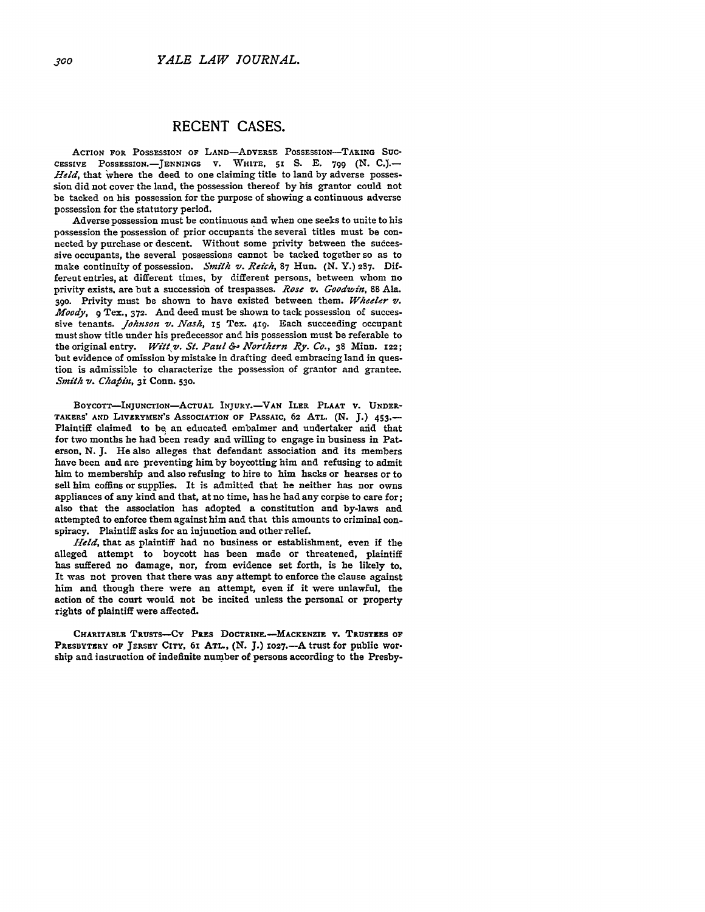## **RECENT CASES.**

ACTION FOR POSSESSION OF LAND-ADVERSE POSSESSION-TAKING SUC-CESSIVE **POSSESSION.-JENNINGS V.** WHITE, **51 S.** E. **799 (N.** C.).- Held, that where the deed to one claiming title to land by adverse possession did not cover the land, the possession thereof **by** his grantor could not be tacked on his possession for the purpose of showing a continuous adverse possession for the statutory period.

Adverse possession must be continuous and when one seeks to unite to his possession the possession of prior occupants the several titles must **be** connected **by** purchase or descent. Without some privity between the successive occupants, the several possessions cannot be tacked together so as to make continuity of possession. *Smith v,. Reich,* **87** Hun. **(N.** Y.) **287.** Differeut entries, at different times, **by** different persons, between whom no privity exists, are but a succession of trespasses. *Rose v. Goodwin,* 88 Ala. **390.** Privity must be shown to have existed between them. *Wheeler v. Moody, 9* Tex., **372.** And deed must be shown to tack possession of successive tenants. *Johnson v. Nash,* **15** Tex. **419.** Each succeeding occupant must show title under his predecessor and his possession must be referable to the original entry. *Wittv. St. Paul &- Northern Ry. Co.,* **38** Minn. 122; but evidence of omission **by** mistake in drafting deed embracing land in question is admissible to characterize the possession of grantor and grantee. *Smith v. Chapin,* **3i** Conn. **530.**

BOYCOTT-INJUNCTION-ACTUAL INJURY.-VAN LLER PLAAT V. UNDER-**TAKERS' AND** LIVzRYMEN'S ASSOCIATION OF **PASSAIC,** 62 **ATL.** (N. **J")** *453.-* Plaintiff claimed to **be** an educated embalmer and undertaker aid that for two months he had been ready and willing to engage in business in Paterson, **N. J.** He also alleges that defendant association and its members have been and are preventing him **by** boycotting him and refusing to admit him to membership and also refusing to hire to him hacks or hearses or to sell him coffins or supplies. It is admitted that he neither has nor owns appliances of any kind and that, at no time, has he had any corpse to care for; also that the association has adopted a constitution and by-laws and attempted to enforce them against him and that this amounts to criminal conspiracy. Plaintiff asks for an injunction and other relief.

*Held,* that as plaintiff had no business or establishment, even if the alleged attempt to boycott has been made or threatened, plaintiff has suffered no damage, nor, from evidence set forth, is **he** likely to. It was not proven that there was any attempt to enforce the clause against him and though there were an attempt, even if it were unlawful, the action of the court would not be incited unless the personal or property rights of plaintiff were affected.

CHARITABLE TRUSTS-CY PRES DOCTRINE.--MACKENZIE V. TRUSTEES OF **PRESBYTERY OF** JERSEY CITY, **6I** ATL., **(N.** J.) **1027.-A** trust for public worship and instruction of indefinite number of persons according to the Presby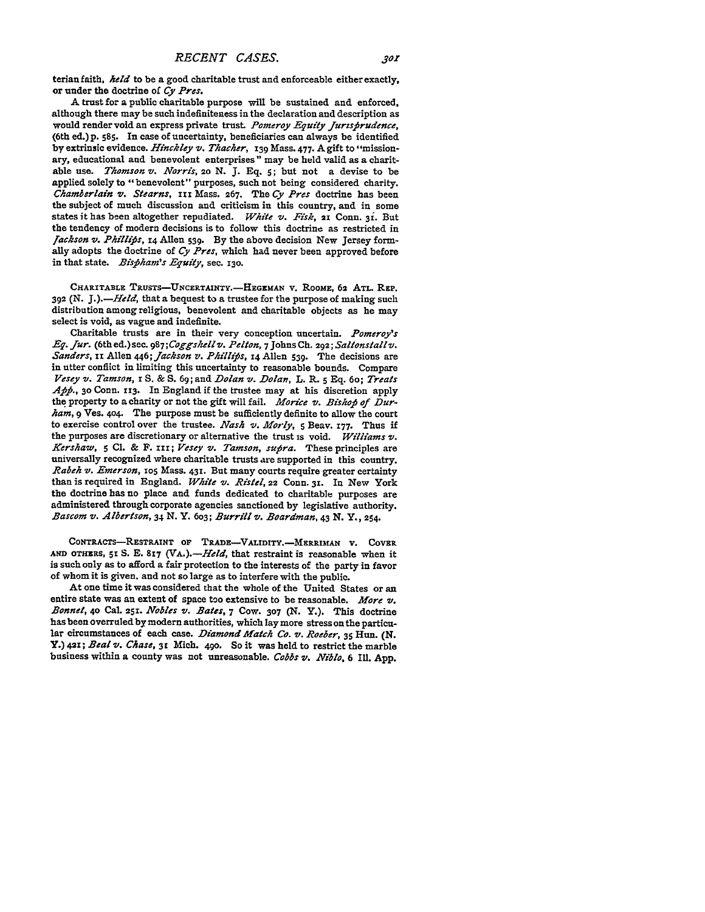terian faith, *held* to be a good charitable trust and enforceable either exactly. or under the doctrine of *Cy Pres.*

A trust for a public charitable purpose will be sustained and enforced, although there may be such indefiniteness in the declaration and description as would render void an express private trust. *Pomeroy Equity Jurzsfirudence,* (6th ed.)p. 585. **In** case of uncertainty, beneficiaries can always be identified **by** extrinsic evidence. *Hinckley v. Thacher,* **139** Mass. **477.** A gift to "missionary, educational and benevolent enterprises" may be held valid as a charitable use. *Thomson v. Norris, 2o* **N. J. Eq. 5;** but not a devise to be applied solely to "benevolent" purposes, such not being considered charity. *Chamberlain v. Stearns, xIi* Mass. **267.** The *Cy Pres* doctrine has been the subject of much discussion and criticism in this country, and in some states it has been altogether repudiated. *White v. Fisk*, 21 Conn. 31. But the tendency of modern decisions is to follow this doctrine as restricted in *Jackson v. Phillifis,* **14** Allen **539. By** the above decision New Jersey formally adopts the doctrine of *Cy Pres,* which had never been approved before in that state. *Bisrfham's Equity,* see. **130.**

**CHARITABLE TRUSTS-UNCERTAINTY.-HEGEMAN** v. ROOME, 62 **ATL.** RiP. **392 (N.** *J.).-Held,* that a bequest to a trustee for the purpose of making such distribution among religious, benevolent and charitable objects as he may select is void, as vague and indefinite.

Charitable trusts are in their very conception uncertain. *Pomeroy's Eg. Jur.* (6th ed.)sec. *987;Coggshellv. Pelton,* 7 Johns **Ch.** 292; *Saltonstallv. Sanders,* **it** Allen *446; Jackson v. Phillifis,* **14** Allen 539. The decisions are in utter conflict in limiting this uncertainty to reasonable bounds. Compare *Vesey v. Tamson, I* **S. & S. 69;** and *Dolan v'. Dolan,* L. R. **5 Eq. 60;** *Treats Afifi.,* **30** Conn. Ir3. In England if the trustee may at his discretion apply the property to a charity or not the gift will fail. *Morice v. Bishofi of Durham,* 9 Ves. **404.** The purpose must be sufficiently definite to allow the court to exercise control over the trustee. *Nash v. Morly*, *5 Beav. 177.* Thus if the purposes are discretionary or alternative the trust is void. *Williams v. Kershaw,* **5 Cl. &** F. **iii;** *Vesey v'. Tamson, supra.* These principles are universally recognized where charitable trusts are supported in this country. *Rabeh v. Emerson,* IoS Mass. **431.** But many courts require greater certainty than is required in England. *White v. Ristel*, 22 Conn. 31. In New York the doctrine has no place and funds dedicated to charitable purposes are administered through corporate agencies sanctioned **by** legislative authority. *Bascom v. Albertson, 34* **N.** Y. **603;** *Burrill v. Boardman,* 43 **N.** Y., **254.**

**CONTRACTS-RESTRAINT OF TRADE-VALIDITY.-MERRIIAN** V. **COVER AND OTHERS, 51** *S.* **E.** *817 (VA.).-Held,* that restraint is reasonable when it is such only as to afford a fair protection to the interests of the party in favor of whom it is given, and not so large as to interfere with the public.

At one time it was considered that the whole of the United States or an entire state was an extent of space too extensive to be reasonable. *More v. Bonnet,* **40** Cal. **<sup>25</sup> <sup>r</sup> .** *Nobles z. Bates,* 7 **Cow. 307 (N.** Y.). This doctrine has been overruled **by** modern authorities, which lay more stress on the particular circumstances of each case. *Diamond Match Co. v. Roeber,* **35** Hun. **(N. Y.)** 421; *Beal . Chase,* **31** Mich. **490.** So it was held to restrict the marble business within a county was not unreasonable. *Cobbs v. Niblo,* 6 **II. App.**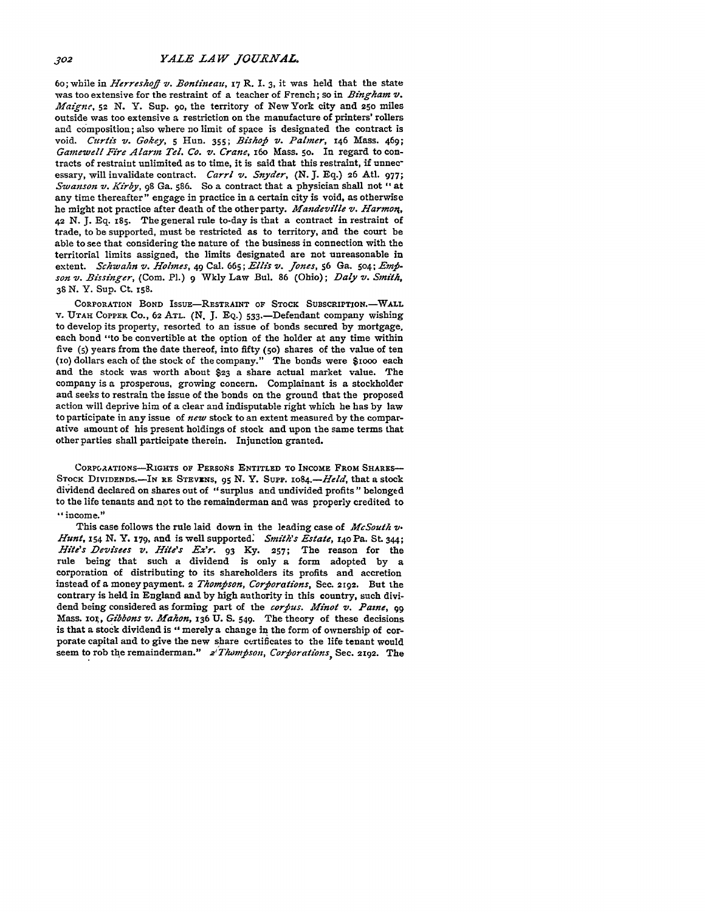6o; while in *Herreshofl v. Bontineau,* **17** R. **I. 3,** it was held that the state was too extensive for the restraint of a teacher of French; so in *Bingham* v,. *Maigne,* 52 **N.** Y. Sup. 90, the territory of New York city and **250** miles outside was too extensive a restriction on the manufacture of printers' rollers and composition; also where no limit of space is designated the contract is void. *Curtis v. Gokey,* 5 Hun. **355;** *Bishoft v. Palmer,* 146 Mass. 469; *Gamewell Fire Alarm Tel. Co. v. Crane,* i6o Mass. **50.** In regard to contracts of restraint unlimited as to time, it is said that this restraint, if unnecessary, will invalidate contract. *Carrl v. Snyder,* (N. J. Eq.) **26** Atl. **977;** *Swanson* v. *Kirby,* 98 Ga. 586. So a contract that a physician shall not "at any time thereafter" engage in practice in a certain city is void, as otherwise he might not practice after death of the otherparty. *Mandeville v. Harmon,* **42** N. **J. Eq. 185.** The general rule to-day is that a contract in restraint of trade, to be supported, must be restricted as to territory, and the court be able to see that considering the nature of the business in connection with the territorial limits assigned, the limits designated are not unreasonable in extent. *Schwahn v. Holmes,* 49 Cal. 665; *Ellis v. Jones,* s6 Ga. 504; *Emjnson v. Bissinger,* (Com. P1.) 9 Wkly Law Bul. 86 (Ohio); *Daly* v,. *Smith,* **<sup>3</sup> 8 N.** Y. Sup. Ct. 158.

CORPORATION **BOND** IssUE-RESTRAINT **OF STOCK** SUBSCRIPTION.-WALL V. **UTAH** COPPER Co., **62** ATL. (N. **J.** EQ.) 533.-Defendant company wishing to develop its property, resorted to an issue of bonds secured **by** mortgage, each bond "to be convertible at the option of the holder at any time within five **(5)** years from the date thereof, into fifty (5o) shares of the value of ten **(1o)** dollars each of the stock of the company." The bonds were **\$1000** each and the stock was worth about **\$23** a share actual market value. The company is a prosperous, growing concern. Complainant is a stockholder and seeks to restrain the issue of the bonds on the ground that the proposed action will deprive him of a clear and indisputable right which he has **by** law to participate in any issue of *new* stock to an extent measured **by** the comparative amount of his present holdings of stock and upon the same terms that other parties shall participate therein. Injunction granted.

CORPORATIONS-RIGHTS OF **PERSONS ENTITLED** TO INCOME FROM SHARES-STOCK DIVIDENDS.-IN RE **STEVENS, 95** N. Y. **SuPP.** *I084.-Held,* that a stock dividend declared on shares out of "surplus and undivided profits" belonged to the life tenants and not to the remainderman and was properly credited to •income."

This case follows the rule laid down in the leading case of *McSouth v. Hunt, 154* **N.** Y. **179,** and is well supported. *Smith's Estate,* **140** Pa. **St.** 344; *Hite's Devisees v. Hite's* E'r. 93 Ky. **257;** The reason for the rule being that such a dividend is only a form adopted **by** a corporation of distributing to its shareholders its profits and accretion instead of a money payment. 2 *Thompson, Corporations*, Sec. 2192. But the contrary is held in England and **by** high authority in this country, such dividend being considered as forming part of the *corpus. Minot v. Paine*, 99 Mass. 101, *Gibbons v. Mahon*, 136 U. S. 549. The theory of these decisions is that a stock dividend is "merely a change in the form of ownership of corporate capital and to give the new share certificates to the life tenant would seem to rob the remainderman." 2'Thompson, Corporations, Sec. 2192. The

302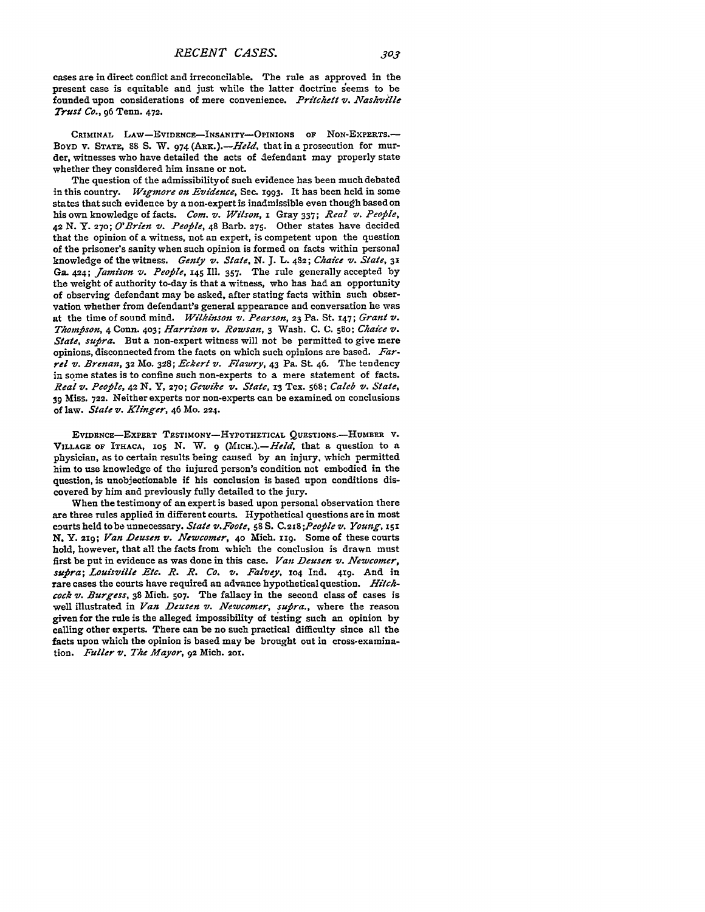cases are in direct conflict and irreconcilable. The rule as approved in the present case is equitable and just while the latter doctrine seems to be founded upon considerations of mere convenience. *Pritchett v. Nashville Trust Co.,* **96** Tenn. **472.**

CRIMINAL LAW-EVIDENCE-INSANITY-OPINIONS OF NON-EXPERTS.-BOYD V. STATE, 88 S. W. 974 (ARK.).-Held, that in a prosecution for murder, witnesses who have detailed the acts of defendant may properly state whether they considered him insane or not.

The question of the admissibilityof such evidence has been much debated in this country. *Wigmore on Evidence,* Sec. **X993.** It has been held in some states that such evidence **by** a non-expert is inadmissible even though based on his own knowledge of facts. *Com. v. Wilson,* I Gray **337;** *Real v. Peopile,* **42 N.** Y. **270;** *O'Brien v. People,* 48 Barb. **275.** Other states have decided that the opinion of a witness, not an expert, is competent upon the question of the prisoner's sanity when such opinion is formed on facts within personal knowledge of the witness. *Genty v. State.* **N. J.** L. 482; *Chaice v. State, <sup>31</sup>* **Ga.** 424; *Jamison v. Peofile,* **145** Ill. 357. The rule generally accepted by the weight of authority to-day is that a witness, who has had an opportunity of observing defendant may be asked, after stating facts within such observation whether from defendant's general appearance and conversation he was at the time of sound mind. *Wilkinson v. Pearson,* **23** Pa. St. **147;** *Grant v. Thomfison,* 4 Conn. **403;** *Harrison v. Rowsan,* 3 Wash. **C. C. 580;** *Chaice v. State, sufira.* But a non-expert witness will not be permitted to give mere opinions, disconnected from the facts on which such opinions are based. *Farrel v. Brenan,* **<sup>32</sup>**MO. **398;** *Eckert v. Flawry,* 43 Pa. **St** 46. The tendency in some states is to confine such non-experts to a mere statement of facts. *Real v. People,* **42** N. Y, **270;** *Gewike v. State,* 13 Tex. 568; *Caleb v. State,* **<sup>39</sup>**Miss. **722.** Neither experts nor non-experts can be examined on conclusions of law. *State v. Klinger,* 46 Mo. 224.

EVIDRNCE-EXPERT **TESTIMONY-HYPOTHETICAL QUESTIONs.-HuMBER v. VILLAGE OF** ITHACA, **io5 N.** W. **9** *(MiCH.).-Heid,* that a question to a physician, as to certain results being caused **by** an injury, which permitted him to use knowledge of the injured person's condition not embodied in the question, is unobjectionable if his conclusion is based upon conditions discovered **by** him and previously **fully** detailed to the **jury.**

When the testimony of an expert is based upon personal observation there are three rules applied in different courts. Hypothetical questions are in most courts held tobe unnecessary. *State v.Foote,* **58 S.** *C.218;People v. Young, <sup>151</sup>* **N.** Y. 219; *Van Deusen v. Newcomer,* **40** Mich. **iz9.** Some of these courts hold, however, that all the facts from which the conclusion is drawn must first be put in evidence as was done in this case. *Van Deusen v. Newcomer, sufira; Louisville Etc. R. R. Co. v. Falvey.* **104** Ind. 419 . And in rare cases the courts have required an advance hypothetical question. *Hitchcock v. Burgess,* **38** Mich. **507.** The fallacy in the second class of cases is well illustrated in *Van Deusen v. Newcomer*, *supra.*, where the reason given for the rule is the alleged impossibility of testing such an opinion **by** calling other experts. There can be no such practical difficulty since all the facts upon which the **opinion** is based may be brought out in cross-examination. *Fuller v. The Mayor,* 92 Mich. **201.**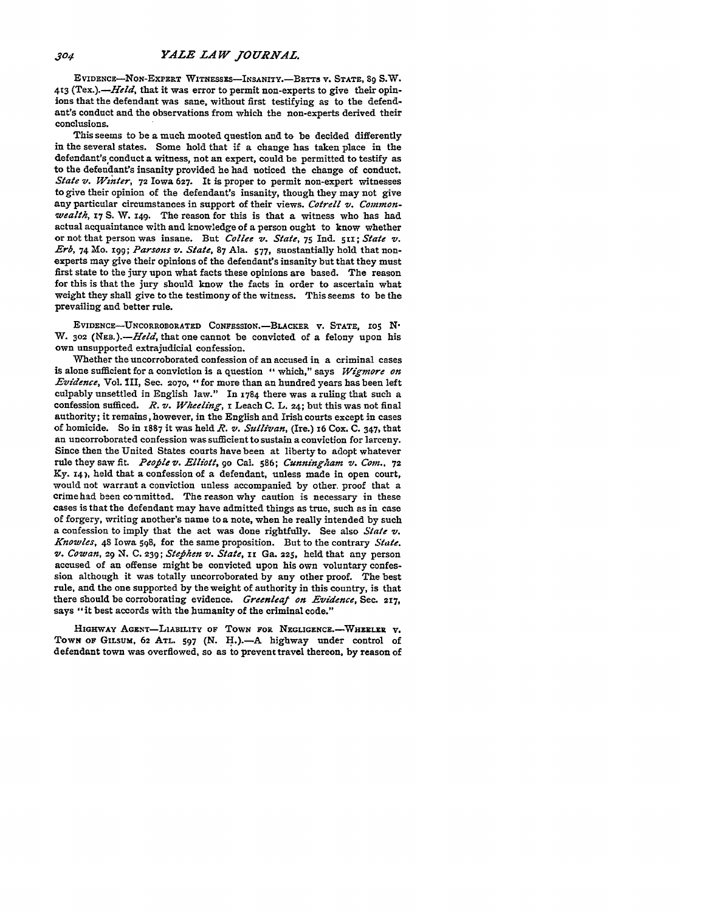EVIDENCE-NoN-ExPERT WITNESSES-INSANITY.-BETTs v. **STATE, S9 S.W.** 413 (Tex.).-*Held*, that it was error to permit non-experts to give their opinions that the defendant was sane, without first testifying as to the defendant's conduct and the observations from which the non-experts derived their conclusions.

This seems to be a much mooted question and to, be decided differently in the several states. Some hold that if a change has taken place in the defendant's conduct a witness, not an expert, could be permitted to testify as to the defendant's insanity provided he had noticed the change of conduct. *State v. Wznter,* **72** Iowa **627.** It is proper to permit non-expert witnesses to give their opinion of the defendant's insanity, though they may not give any particular circumstances in support of their views. *Cotrell v. Commonwealth,* **17 S.** W. **I4g.** The reason for this is that a witness who has had actual acquaintance with and knowledge of a person ought to know whether or not that person was insane. But *Collee v. State,* **75** Ind. **51I;** *State v. Erb,* 74 MO. *x9g; Parsons v. State,* **87** Ala. **577,** suostantially hold that nonexperts may give their opinions of the defendant's insanity but that they must first state to the jury upon what facts these opinions are based. The reason for this is that the jury should know the facts in order to ascertain what weight they shall give to the testimony of the witness. This seems to be the prevailing and better rule.

EVIDENCE-UNCORROBORATED CONFESSION.-BLACKER **V. STATE, 105 N"** W. 302 (NEB.).-*Held*, that one cannot be convicted of a felony upon his own unsupported extrajudicial confession.

Whether the uncorroborated confession of an accused in a criminal cases is alone sufficient for a conviction is a question " which," says *Wigmore on Evidence,* Vol. III, Sec. **2070,** "for more than an hundred years has been left culpably unsettled in English law." In 1784 there was a ruling that such a confession sufficed. *R. v. Wheeling,* i Leach **C.** L. **24;** but this was not final authority; it remains, however, in the English and Irish courts except in cases of homicide. So in **1887** it was held *R. v. Sullivan,* (Ire.) **i6** Cox. **C.** 347, that an uncorroborated confession was sufficient to sustain a conviction for larceny. Since then the United States courts have been at liberty to adopt whatever rule they saw fit. *People v. Elliott,* **9o** Cal. **586;** *Cunningham v. Com.. <sup>72</sup>* Ky. **14),** held that a confession of a defendant, unless made in open court, would not warrant a conviction unless accompanied by other. proof that a crime had been co-nmitted. The reason why caution is necessary in these cases is that the defendant may have admitted things as true, such as in case of forgery, writing another's name to a note, when he really intended **by** such a confession to imply that the act was done rightfully. See also *State v. Knowles,* 48 Iowa **598,** for the same proposition. But to the contrary *State. v. Cowan, 29* **N. C. 239;** *Stephen v. State,* **ii** Ga. **225,** held that any person accused of an offense might be convicted upon his own voluntary confession although it was totally uncorroborated **by** any other proof. The best rule, and the one supported **by** the weight of authority in this country, is that there should be corroborating evidence. *Greenleaf on Evidence,* Sec. **217,** says *"it* best accords with the humanity of the criminal code."

HIGHWAY AGENT-LIABILITY OF TOWN FOR NEGLIGENCE.-WHEELER V. TowN **oF GILSUM, 62** ATL. **597 (N. H.).-A** highway under control of defendant town was overflowed, so as to prevent travel thereon, **by** reason of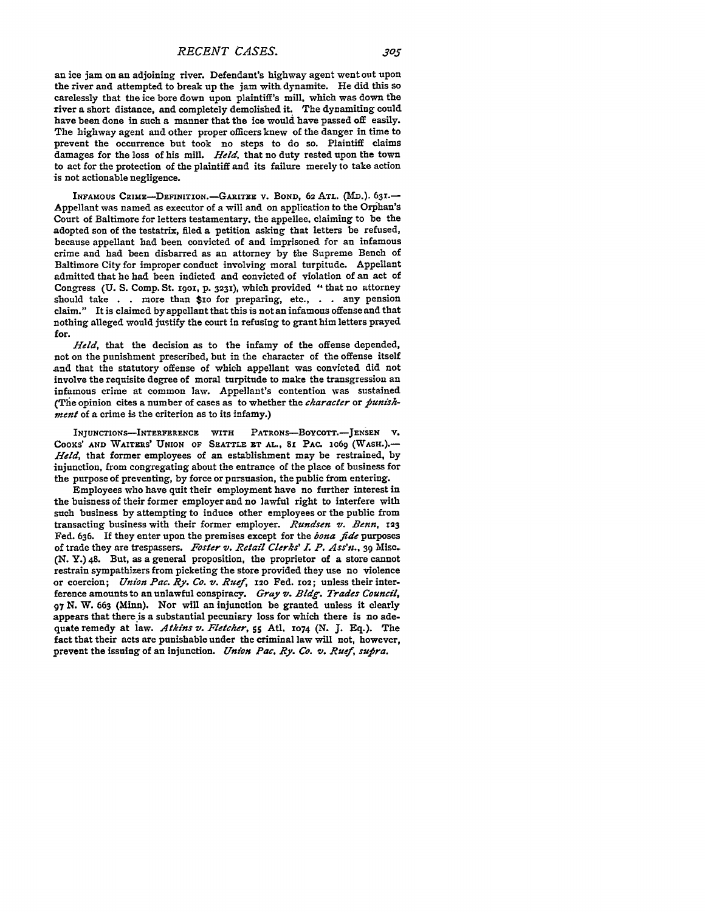an ice jam on an adjoining river. Defendant's highway agent went out upon the river and attempted to break up the jam with. dynamite. He did this so carelessly that the ice bore down upon plaintiff's mill, which was down the river a short distance, and completely demolished it. The dynamiting could have been done in such a manner that the ice would have passed off easily. The highway agent and other proper officers knew of the danger in time to prevent the occurrence but took no steps to do so. Plaintiff claims damages for the loss of his mill. *Held,* that no duty rested upon the town to act for the protection of the plaintiff and its failure merely to take action is not actionable negligence.

INFAMOUS CRIME-DEFINITION.-GARITEE v. **BOND, 62** ATL. **(MD.). 631.-** Appellant was named as executor of a will and on application to the Orphan's Court of Baltimore for letters testamentary, the appellee. claiming to be the adopted son of the testatrix, filed a petition asking that letters be refused, because appellant bad been convicted of and imprisoned for an infamous crime and had been disbarred as an attorney **by** the Supreme Bench of Baltimore City for improper conduct involving moral turpitude. Appellant admitted that he had been indicted and convicted of violation of an act of Congress (U. S. Comp. St. 1901, p. 3231), which provided "that no attorney should take . . more than \$10 for preparing, etc., . . any pension claim." It is claimed **by** appellant that this is not an infamous offense and that nothing alleged would justify the court in refusing to grant him letters prayed for.

*Held,* that the decision as to the infamy of the offense depended, not on the punishment prescribed, but in the character of the offense itself and that the statutory offense of which appellant was convicted did not involve the requisite degree of moral turpitude to make the transgression an infamous crime at common law. Appellant's contention was sustained (Tie opinion cites a number of cases as to whether the *character* or *funishment* of a crime is the criterion as to its infamy.)

**INJUNCTIONS-INTERFERENCE WITH PATRONs-BoycoTT.-JENsEN v. COOKS' AND** WAITERS' **UNION OF SEATTLE ET AL., 81 PAC.** io69 (WASH.).- *Held,* that former employees of an establishment may be restrained, **by** injunction, from congregating about the entrance of the place of business for the purpose of preventing, **by** force or pursuasion, the public from entering.

Employees who have quit their employment have no further interest in the buisness of their former employer and no lawful right to interfere with such business **by** attempting to induce other employees or the public from transacting business with their former employer. *Rundsen v. Benn,* **<sup>123</sup>** Fed. **636.** If they enter upon the premises except for the *bona fide* purposes of trade they are trespassers. Foster v. Retail Clerks' I. P. Ass'n., 39 Misc. **(N. Y.)** 48. But, as a general proposition, the proprietor of a store cannot restrain sympathizers from picketing the store provided they use no violence or coercion; *Union Pac. Ry. Co. v. Ruef*, 120 Fed. 102; unless their interference amounts to an unlawful conspiracy. *Gray v. Bldg. Trades Council,* **97 N.** W. **663** (Minn). Nor will an injunction be granted unless it clearly appears that there is a substantial pecuniary loss for which there is **no** adequate remedy at law. Atkins v. Fletcher, 55 Atl. 1074 (N. J. Eq.). The fact that their acts **are** punishable under the criminal law will not, however, prevent the issuing of an injunction. *Union Pac. Ry. Co. v. Ruef, supra.*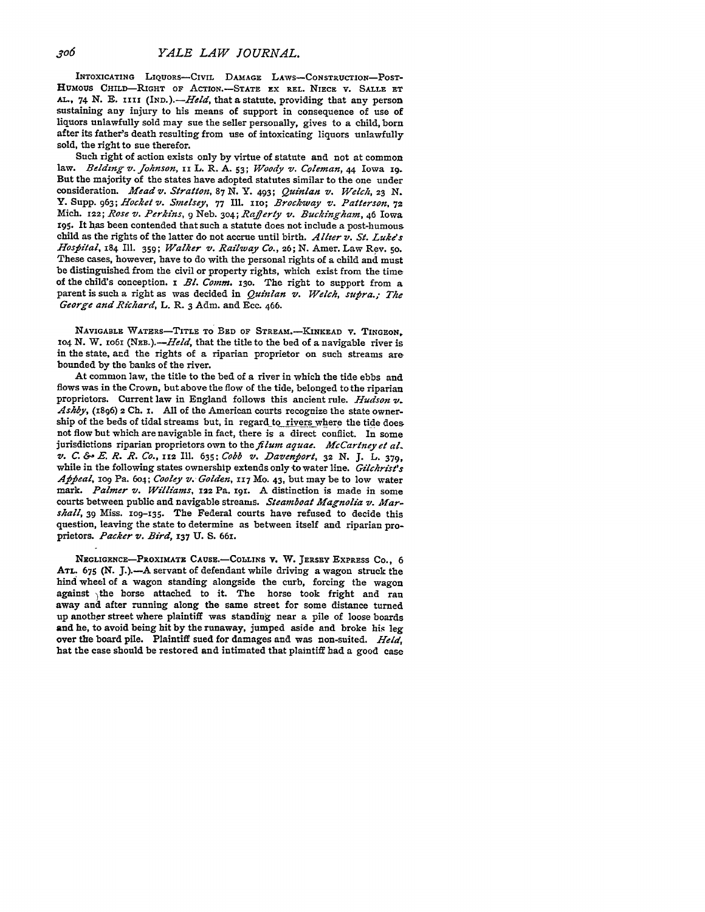INTOXICATING LIQUORS-CIVIL DAMAGE LAWS-CONSTRUCTION-POST-HuMous CHILD-RIGHT **OF** ACTION.-STATE **EX REL.** NIECE **V. SALLE ET AL.,** 74 **N. E. IIII** *(IND.).-Held,* that a statute, providing that any person sustaining any injury to his means of support in consequence of use of liquors unlawfully sold may sue the seller personally, gives to a child, born after its father's death resulting from use of intoxicating liquors unlawfully sold, the right to sue therefor.<br>Such right of action exists only by virtue of statute and not at common

law. Belding v. Johnson, 11 L. R. A. 53; Woody v. Coleman, 44 Iowa 19. But the majority of the states have adopted statutes similar to the one under consideration. *Mead v. Stratton,* **87 N. Y.** *493; Quinlan v. Welch,* **23 N.** Y. Supp. **963;** *Hocket v. Smelsey,* **77 Ill.** iio; *Brockway v. Patterson, <sup>72</sup>* Mich. **122;** *Rose v. Perkins, 9* Neb. 304; *Raflerty v. Buckingham,* 46 Iowa **195.** It has been contended that such a statute does not include a post-humous. child as the rights of the latter do not accrue until birth. *Aliter v. St. Luke's Hosphilal,* **184** Ill. **359;** *Walker v. Railway Co.,* 26; **N.** Amer. Law Rev. so. These cases, however, have to do with the personal rights of a child and must be distinguished from the civil or property rights, which exist from the time of the child's conception. **i** *B1. Comm.* 13o. The right to support from a parent is such a right as was decided in *Quinlan v. Welch, supra.; The George and Richard,* L. **R.** 3 Adm. and **Ecc.** 466.

**NAVIGABLE WATERS-TITLE TO BED OF STREAbi.-KINKEAD V. TINGEON, IO4 N.** W. **IO6I** *(Nx.).-Held,* that the title to the bed of a navigable river is in the state, **and** the rights of a riparian proprietor on such streams are bounded **by** the banks of the river.

At common law, the title to the bed of a river in which the tide ebbs and flows was in the Crown, but above the flow of the tide, belonged to the riparian proprietors. Current law in England follows this ancient rule. *Hudson v. Ashby,* (i896) *2* Ch. **I. All** of the American courts recognize the state ownership of the beds of tidal streams but, in regard **to** rivers where the tide does not flow but which are navigable in fact, there is a direct conflict. In some jurisdictions riparian proprietors own to the *fllum aguae. McCartney et al v. C. &' E. R. R. Co., i12* Ill. 635; *Cobb v. Davenport, 32* **N. J.** L. 379, while in the following states ownership extends only to water line. *Gilchrist's Appeal,* **1o9** Pa. 6o4; *Cooley v. Golden,* **117** Mo. 43, but may be to low water mark. *Palmer v. Williams,* **132** Pa. **191. A** distinction is made in some courts between public and navigable streams. *Steamboat Magnolia v. Marshall,* **39** Miss. **109-135.** The Federal courts have refused to decide this question, leaving the state to determine as between itself and riparian proprietors. *Packer v. Bird,* **137 U. S. 661.**

**NEGLIGENCE-PROXIMATE CAUSE.-CoLLINS V.** W. **JERSEY** EXPRESS Co., **6** ATL. **675 (N. J.).-A** servant of defendant while driving a wagon struck the hind wheel of a wagon standing alongside the curb, forcing the wagon against the horse attached to it. The horse took fright and ran away and after running along the same street for some distance turned up another street where plaintiff was standing near a pile of loose boards and he, to avoid being hit **by** the runaway, jumped aside and broke his leg over the board pile. Plaintiff sued for damages and was non-suited. *Held,* **hat** the case should be restored and intimated that plaintiff had a good case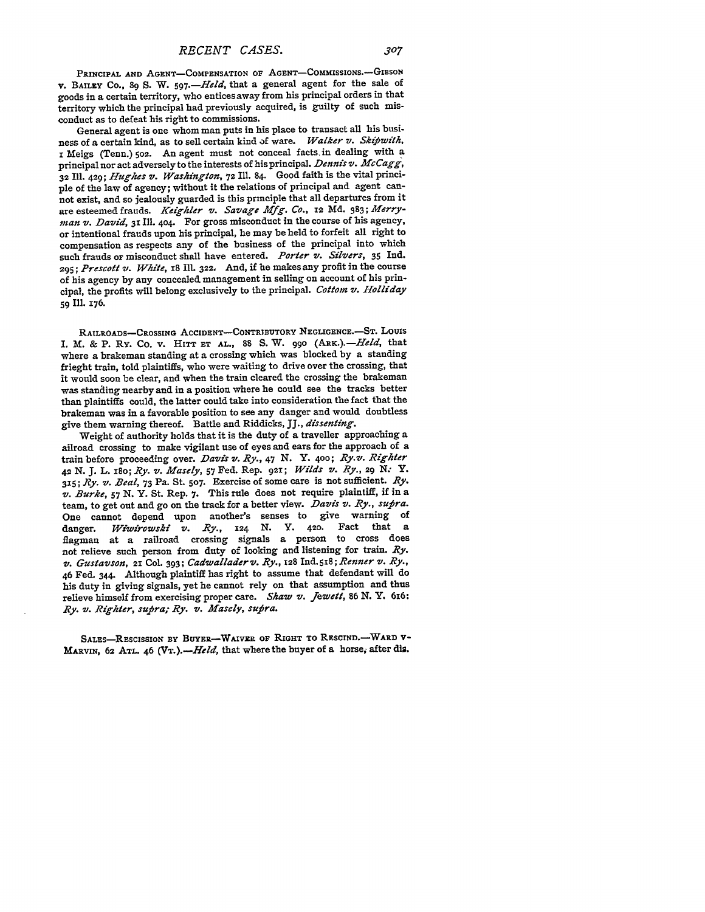PRINCIPAL AND AGENT-COMPENSATION OF AGENT-COMMISSIONS.<sup>444</sup>GIBSON v. BAILEY **Co.,** 89 *S.* **W.** *59 7.- Held,* that a general agent for the sale of goods in a certain territory, who entices away from his principal orders in that territory which the principal had previously acquired, is guilty of such misconduct as to defeat his right to commissions.

General agent is one whom man puts in his place to transact all his business of a certain kind, as to sell certain kind of ware. *Walker v. Skifiwith,* x Meigs (Tenn.) **502. An** agent must not conceal facts, in dealing with a principal nor act adversely to the interests of his principal. *Dennis v. McCagg,* **32 Ill. 429;** *Hughes v. Washington,* **72** Ill. 84. Good faith is the vital principle of the law of agency; without it the relations of principal and agent cannot exist, and so jealously guarded is this principle that all departures from it are esteemed frauds. *Keighler v. Savage Affg. Co.,* 12 **Md.** 383; *.Merryman v. David, 31* **Ill.** 404. For gross misconduct in the course of his agency, or intentional frauds upon his principal, he may be held to forfeit all right to compensation as respects any of the business of the principal into which such frauds or misconduct shall have entered. *Porter v. Silvers,* **35 Ind.** *295; Prescott v. White, I8* Ill. **322,** And, if he makes any profit in the course of his agency **by** any concealed management in selling on account of his principal, the profits will belong exclusively to the principal. *Cottom v. Holliday* 59 **Il.** 176.

**RAILROADS-CROSSING AcCIDENT-CONTRIBUTORY NEGLIGENCE.-ST. LouIs** I. M. & P. Ry. Co. v. HITT ET AL., 88 S. W. 990 (ARK.). - Held, that where a brakeman standing at a crossing which was blocked **by** a standing frieght train, told plaintiffs, who were waiting to drive over the crossing, that it would soon be clear, and when the train cleared the crossing the brakeman was standing nearby and in a position where he could see the tracks better than plaintiffs could, the latter could take into consideration the fact that the brakeman was in a favorable position to see any danger and would doubtless give them warning thereof. Battle and Riddicks, **JJ.,** *dissenting.*

Weight of authority holds that it is the duty of a traveller approaching a ailroad crossing to make vigilant use of eyes and ears for the approach of a train before proceeding over. *Davis v. Ry., 47* **N.** Y. **4oo;** *.Ry.v. Righter* **42 N. J.** L. 18o; *By. v. Masely,* **57** Fed. Rep. **921;** *Wilds v. Ry.,* 29 *N:* Y. 315; *R y. v. eal,* **73** Pa. St. **5o7.** Exercise of some care is not sufficient. *Ry. v. Burke,* 57 **N.** Y. St. Rep. **7.** This rule does not require plaintiff, if in a team, to get out and go on the track for a better view. Davis v. Ry., supra. One cannot depend upon another's senses to give warning of **danger.** *Wiwirowski v. Ry., 124* **N. Y.** 420. **Fact that a** flagman at a railroad crossing signals a person to cross does not relieve such person from duty of looking and listening for train. **Ry.**  $v.$  *Gustavson, 21 Col. 393; Cadwallader v. Ry., 128 Ind. 518; Renner v. Ry.,* 46 Fed. 344. Although plaintiff has right to assume that defendant will do his duty in giving signals, yet he cannot rely on that **assumption and thus** relieve himself from exercising proper care. *Shaw v. Jewett, 86* **N.** Y. 616: *Ry. v. Righter, supra; Ry. v. Masely, supra.* 

SALES-RESCISSION BY BUYER-WAIVER OF RIGHT TO RESCIND.-WARD V-MARVIN, **62 ATL.** 46 *(VT.).-Held,* **that where** the buyer of a horse; after **dis.**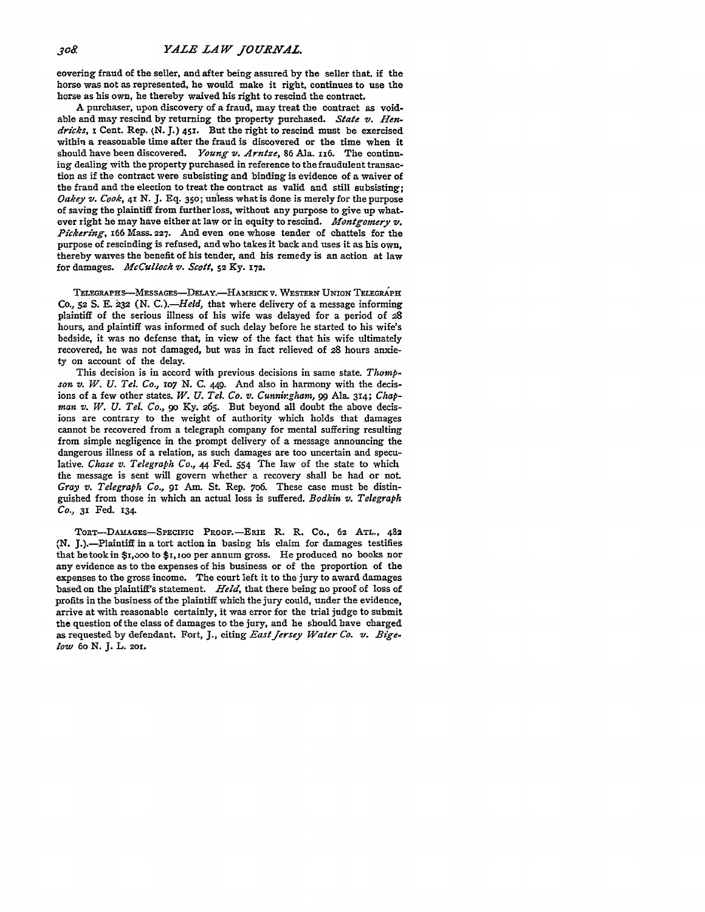eovering fraud of the seller, and after being assured **by** the seller that. if the horse was not as represented, he would make it right, continues to use the horse as his own, he thereby waived his right to rescind the contract.

A purchaser, upon discovery of a fraud, may treat the contract as voidable and may rescind **by** returning the property purchased. *State v'. Hendricks, i* Cent. Rep. **(N. J.) 451.** But the right to rescind must be exercised within a reasonable time after the fraud is discovered or the time when it should have been discovered. *Young v. Arntze,* **86** Ala. ix6. The continuing dealing with the property purchased in reference to the fraudulent transaction as if the contract were subsisting and binding is evidence of a waiver of the fraud and the election to treat the contract as valid and still subsisting; *Oakey v.* **Cook,** *4z* **N. J. Eq. 350;** unless what is done is merely for the purpose of saving the plaintiff from further loss, without any purpose to give up whatever right he may have either at law or in equity to rescind. *Montgomery v. Pickering,* 166 Mass. **227.** And even one whose tender of chattels for the purpose of rescinding is refused, and who takes it back and uses it as his own, thereby waives the benefit of his tender, and his remedy is an action at law for damages. *McCulloch '. Scott,* **52** Ky. **72.**

TELEGRAPHS-MESSAGES-DELAY.-HAMRICK **v. WESTERN UNION TELEGRAPH** Co., *52* S. E. a32 **(N.** *C.).-Held,* that where delivery of a message informing plaintiff of the serious illness of his wife was delayed for a period of **28** hours, and plaintiff was informed of such delay before he started to his wife's bedside, it was no defense that, in view of the fact that his wife ultimately recovered, he was not damaged, but was in fact relieved **of** 28 hours anxiety on account of the delay.

This decision is in accord with previous decisions in same state. *Thompson v. W. U. Tel. Co., xo7* N. **C. 449.** And also in harmony with the decisions of a few other states. *W. U. Tel. Co. v. Cunnirgham, 99* Ala. 314; *Chapman v. W. U. Tel. Co., go* Ky. 265. But beyond all doubt the above decisions are contrary to the weight of authority which holds that damages cannot be recovered from a telegraph company for mental suffering resulting from simple negligence in the prompt delivery of a message announcing the dangerous illness of a relation, as such damages are too uncertain and speculative. *Chase v. Telegraph Co., 44* Fed. 554 The law of the state to which the message is sent will govern whether a recovery shall be had or not. *Gray v. Telegraph Co.,* **9I** Am. **St.** Rep. 7o6. These case must be distinguished from those in which an actual loss is suffered. *Bodkin v. Telegraph Co.,* 31 Fed. 134.

TORT--DAMAGES-SPECIFIC PROOF.-ERIE R. R. Co., 62 ATL., 482 **(N.** J.).-Plaintiff in a tort action in basing his claim for damages testifies that he took in \$1,000 to \$1,100 per annum gross. He produced no books nor any evidence as to the expenses of his business or of the proportion of the expenses to the gross income. The court left it to the jury to award damages based on the plaintiff's statement. *Held,* that there being no proof of loss of profits in the business of the plaintiff which the jury could, under the evidence, arrive at with reasonable certainly, it was error for the trial judge to submit the question of the class of damages to the jury, and he should have charged as requested **by** defendant. Fort, **J.,** citing *East Jersey Water Co. v. Bigelow 6o* **N. J.** L. **201.**